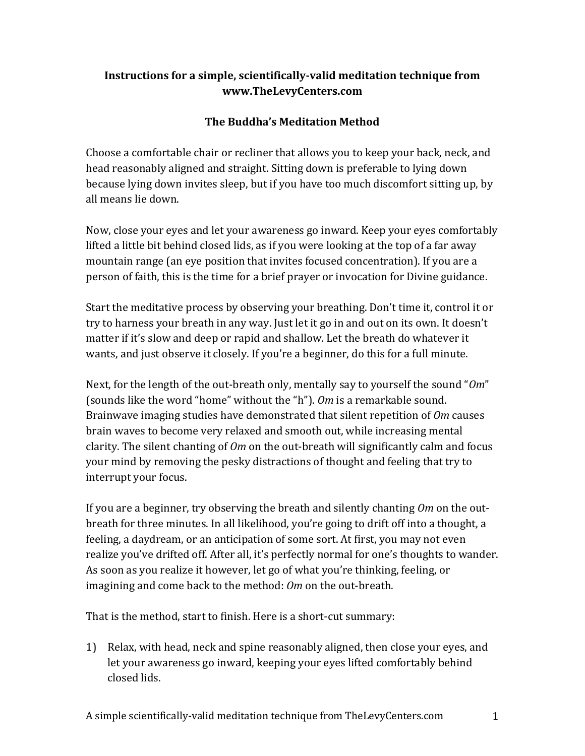## **Instructions for a simple, scientifically-valid meditation technique from www.TheLevyCenters.com**

## **The Buddha's Meditation Method**

Choose a comfortable chair or recliner that allows you to keep your back, neck, and head reasonably aligned and straight. Sitting down is preferable to lying down because lying down invites sleep, but if you have too much discomfort sitting up, by all means lie down.

Now, close your eyes and let your awareness go inward. Keep your eyes comfortably lifted a little bit behind closed lids, as if you were looking at the top of a far away mountain range (an eye position that invites focused concentration). If you are a person of faith, this is the time for a brief prayer or invocation for Divine guidance.

Start the meditative process by observing your breathing. Don't time it, control it or try to harness your breath in any way. Just let it go in and out on its own. It doesn't matter if it's slow and deep or rapid and shallow. Let the breath do whatever it wants, and just observe it closely. If you're a beginner, do this for a full minute.

Next, for the length of the out-breath only, mentally say to yourself the sound "*Om*" (sounds like the word "home" without the "h"). *Om* is a remarkable sound. Brainwave imaging studies have demonstrated that silent repetition of *Om* causes brain waves to become very relaxed and smooth out, while increasing mental clarity. The silent chanting of *Om* on the out-breath will significantly calm and focus your mind by removing the pesky distractions of thought and feeling that try to interrupt your focus.

If you are a beginner, try observing the breath and silently chanting *Om* on the outbreath for three minutes. In all likelihood, you're going to drift off into a thought, a feeling, a daydream, or an anticipation of some sort. At first, you may not even realize you've drifted off. After all, it's perfectly normal for one's thoughts to wander. As soon as you realize it however, let go of what you're thinking, feeling, or imagining and come back to the method: *Om* on the out-breath.

That is the method, start to finish. Here is a short-cut summary:

1) Relax, with head, neck and spine reasonably aligned, then close your eyes, and let your awareness go inward, keeping your eyes lifted comfortably behind closed lids.